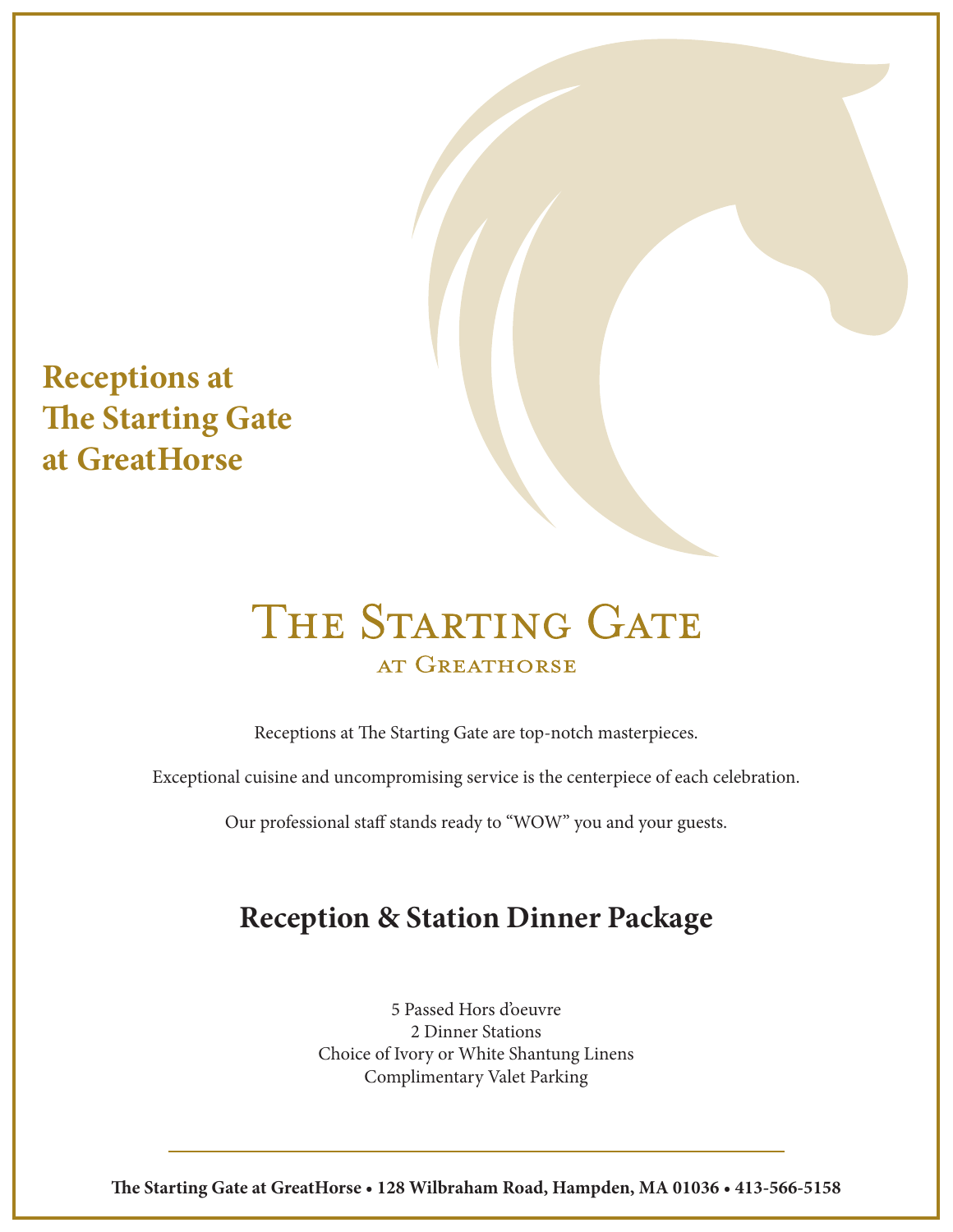**Receptions at The Starting Gate at GreatHorse**

# THE STARTING GATE AT GREATHORSE

Receptions at The Starting Gate are top-notch masterpieces.

Exceptional cuisine and uncompromising service is the centerpiece of each celebration.

Our professional staff stands ready to "WOW" you and your guests.

## **Reception & Station Dinner Package**

5 Passed Hors d'oeuvre 2 Dinner Stations Choice of Ivory or White Shantung Linens Complimentary Valet Parking

**e Starting Gate at GreatHorse • 128 Wilbraham Road, Hampden, MA 01036 • 413-566-5158**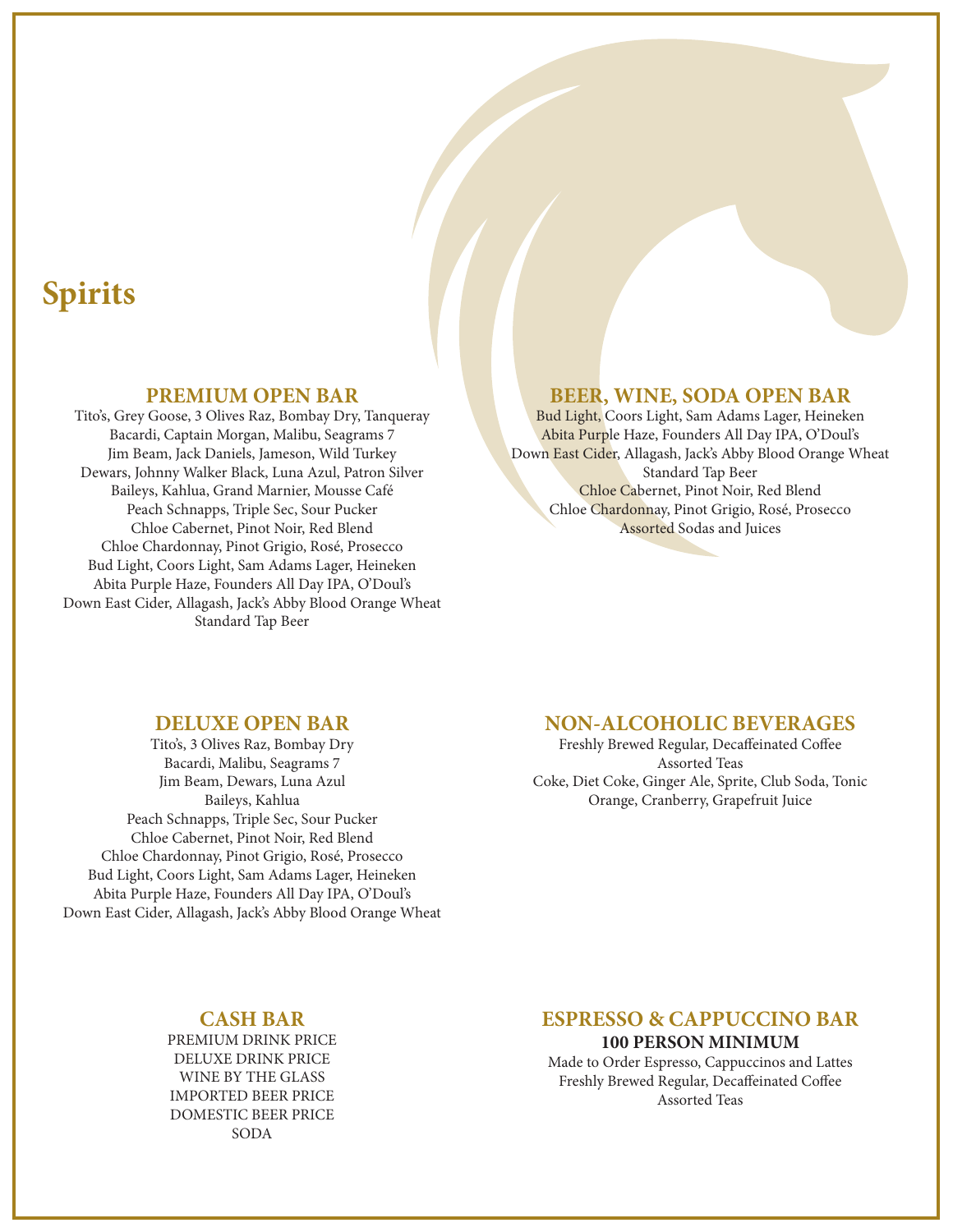## **Spirits**

#### **PREMIUM OPEN BAR**

Tito's, Grey Goose, 3 Olives Raz, Bombay Dry, Tanqueray Bacardi, Captain Morgan, Malibu, Seagrams 7 Jim Beam, Jack Daniels, Jameson, Wild Turkey Dewars, Johnny Walker Black, Luna Azul, Patron Silver Baileys, Kahlua, Grand Marnier, Mousse Café Peach Schnapps, Triple Sec, Sour Pucker Chloe Cabernet, Pinot Noir, Red Blend Chloe Chardonnay, Pinot Grigio, Rosé, Prosecco Bud Light, Coors Light, Sam Adams Lager, Heineken Abita Purple Haze, Founders All Day IPA, O'Doul's Down East Cider, Allagash, Jack's Abby Blood Orange Wheat Standard Tap Beer

#### **BEER, WINE, SODA OPEN BAR**

Bud Light, Coors Light, Sam Adams Lager, Heineken Abita Purple Haze, Founders All Day IPA, O'Doul's Down East Cider, Allagash, Jack's Abby Blood Orange Wheat Standard Tap Beer Chloe Cabernet, Pinot Noir, Red Blend Chloe Chardonnay, Pinot Grigio, Rosé, Prosecco Assorted Sodas and Juices

#### **DELUXE OPEN BAR**

Tito's, 3 Olives Raz, Bombay Dry Bacardi, Malibu, Seagrams 7 Jim Beam, Dewars, Luna Azul Baileys, Kahlua Peach Schnapps, Triple Sec, Sour Pucker Chloe Cabernet, Pinot Noir, Red Blend Chloe Chardonnay, Pinot Grigio, Rosé, Prosecco Bud Light, Coors Light, Sam Adams Lager, Heineken Abita Purple Haze, Founders All Day IPA, O'Doul's Down East Cider, Allagash, Jack's Abby Blood Orange Wheat

### **NON-ALCOHOLIC BEVERAGES**

Freshly Brewed Regular, Decaffeinated Coffee Assorted Teas Coke, Diet Coke, Ginger Ale, Sprite, Club Soda, Tonic Orange, Cranberry, Grapefruit Juice

### **CASH BAR**

PREMIUM DRINK PRICE DELUXE DRINK PRICE WINE BY THE GLASS IMPORTED BEER PRICE DOMESTIC BEER PRICE SODA

## **ESPRESSO & CAPPUCCINO BAR**

**100 PERSON MINIMUM**

Made to Order Espresso, Cappuccinos and Lattes Freshly Brewed Regular, Decaffeinated Coffee Assorted Teas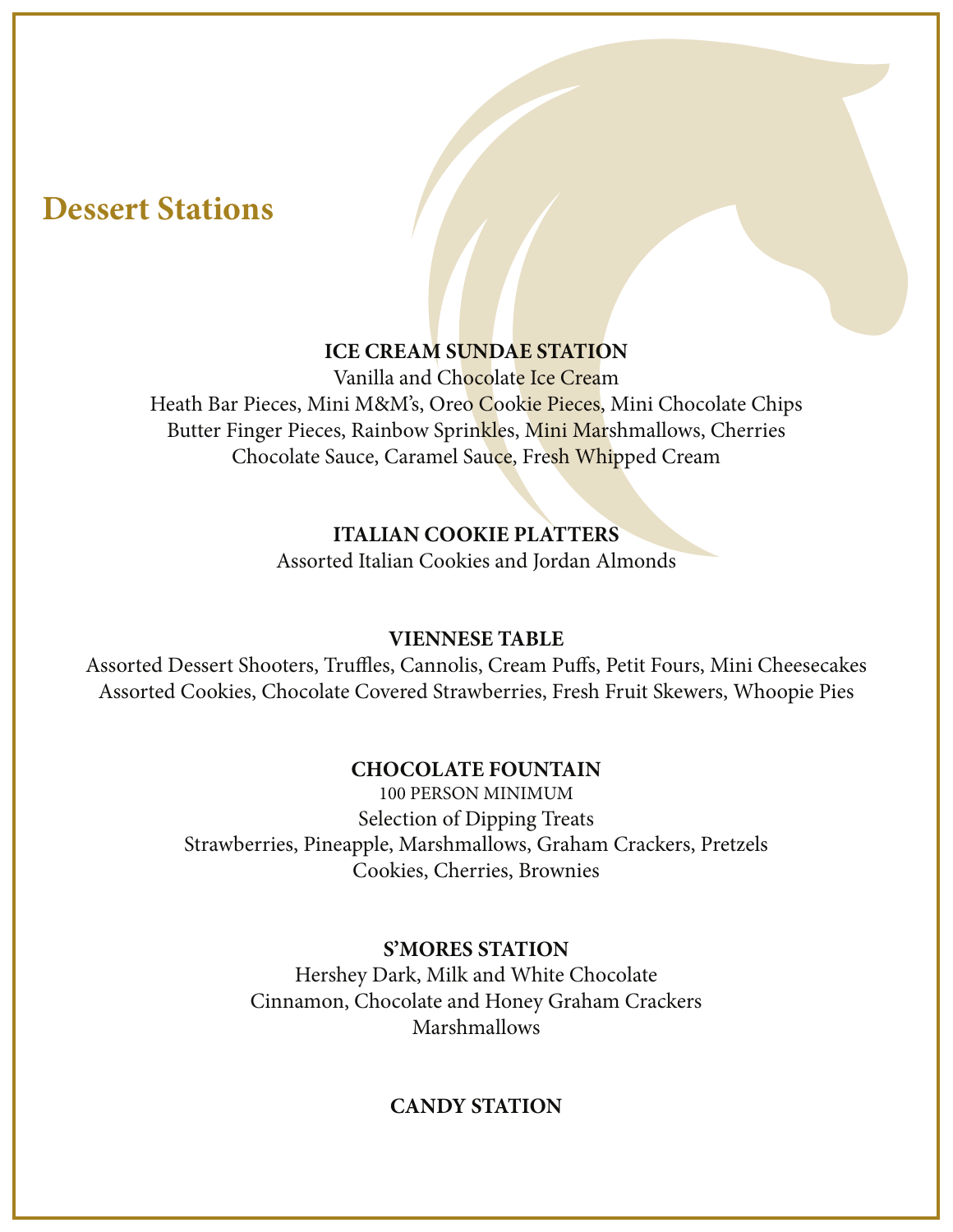## **Dessert Stations**

## **ICE CREAM SUNDAE STATION**

Vanilla and Chocolate Ice Cream Heath Bar Pieces, Mini M&M's, Oreo Cookie Pieces, Mini Chocolate Chips Butter Finger Pieces, Rainbow Sprinkles, Mini Marshmallows, Cherries Chocolate Sauce, Caramel Sauce, Fresh Whipped Cream

## **ITALIAN COOKIE PLATTERS**

Assorted Italian Cookies and Jordan Almonds

### **VIENNESE TABLE**

Assorted Dessert Shooters, Truffles, Cannolis, Cream Puffs, Petit Fours, Mini Cheesecakes Assorted Cookies, Chocolate Covered Strawberries, Fresh Fruit Skewers, Whoopie Pies

## **CHOCOLATE FOUNTAIN**

100 PERSON MINIMUM Selection of Dipping Treats Strawberries, Pineapple, Marshmallows, Graham Crackers, Pretzels Cookies, Cherries, Brownies

## **S'MORES STATION**

Hershey Dark, Milk and White Chocolate Cinnamon, Chocolate and Honey Graham Crackers Marshmallows

## **CANDY STATION**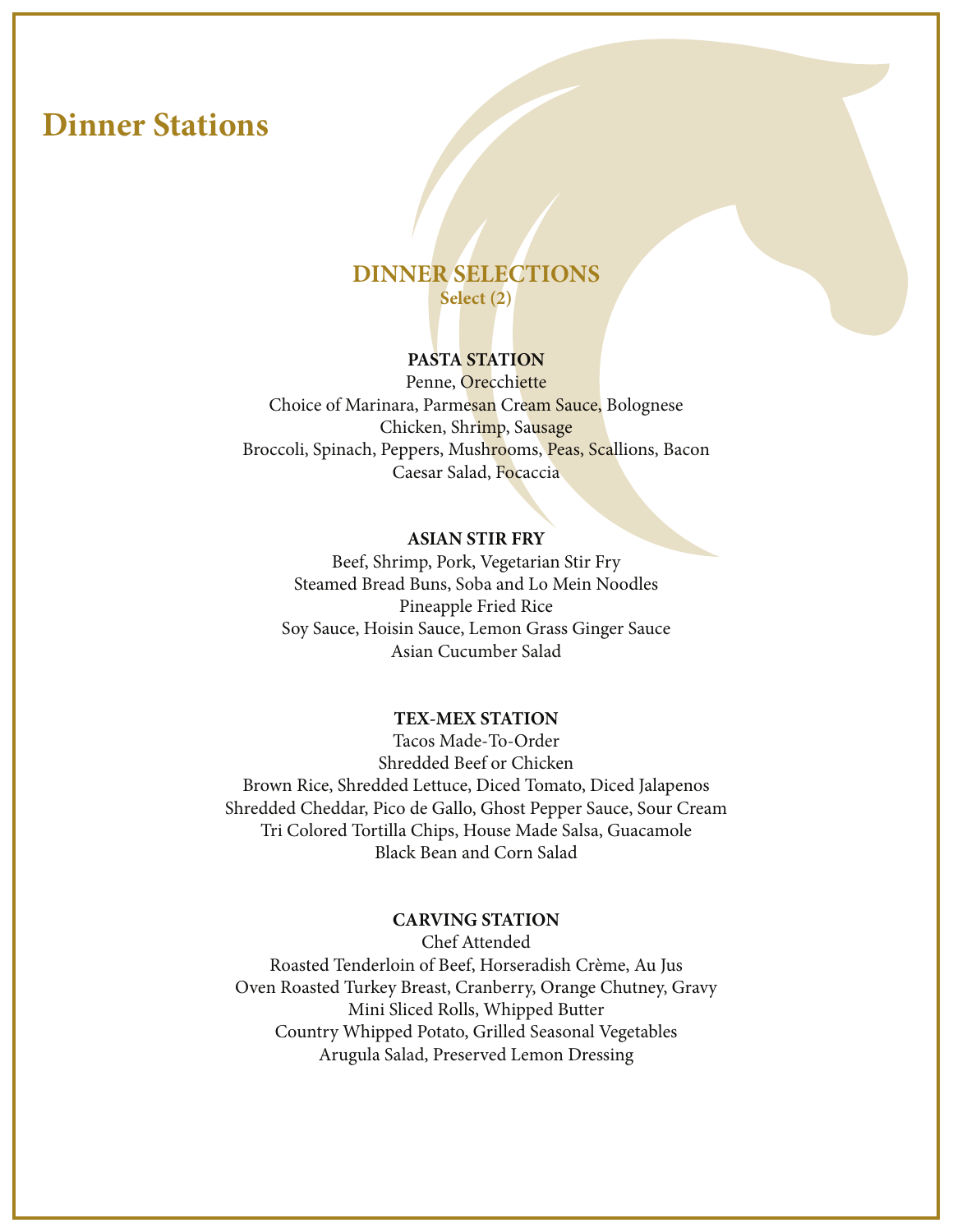## **Dinner Stations**

## **DINNER SELECTIONS Select (2)**

### **PASTA STATION**

Penne, Orecchiette Choice of Marinara, Parmesan Cream Sauce, Bolognese Chicken, Shrimp, Sausage Broccoli, Spinach, Peppers, Mushrooms, Peas, Scallions, Bacon Caesar Salad, Focaccia

#### **ASIAN STIR FRY**

Beef, Shrimp, Pork, Vegetarian Stir Fry Steamed Bread Buns, Soba and Lo Mein Noodles Pineapple Fried Rice Soy Sauce, Hoisin Sauce, Lemon Grass Ginger Sauce Asian Cucumber Salad

#### **TEX-MEX STATION**

Tacos Made-To-Order Shredded Beef or Chicken Brown Rice, Shredded Lettuce, Diced Tomato, Diced Jalapenos Shredded Cheddar, Pico de Gallo, Ghost Pepper Sauce, Sour Cream Tri Colored Tortilla Chips, House Made Salsa, Guacamole Black Bean and Corn Salad

#### **CARVING STATION**

Chef Attended Roasted Tenderloin of Beef, Horseradish Crème, Au Jus Oven Roasted Turkey Breast, Cranberry, Orange Chutney, Gravy Mini Sliced Rolls, Whipped Butter Country Whipped Potato, Grilled Seasonal Vegetables Arugula Salad, Preserved Lemon Dressing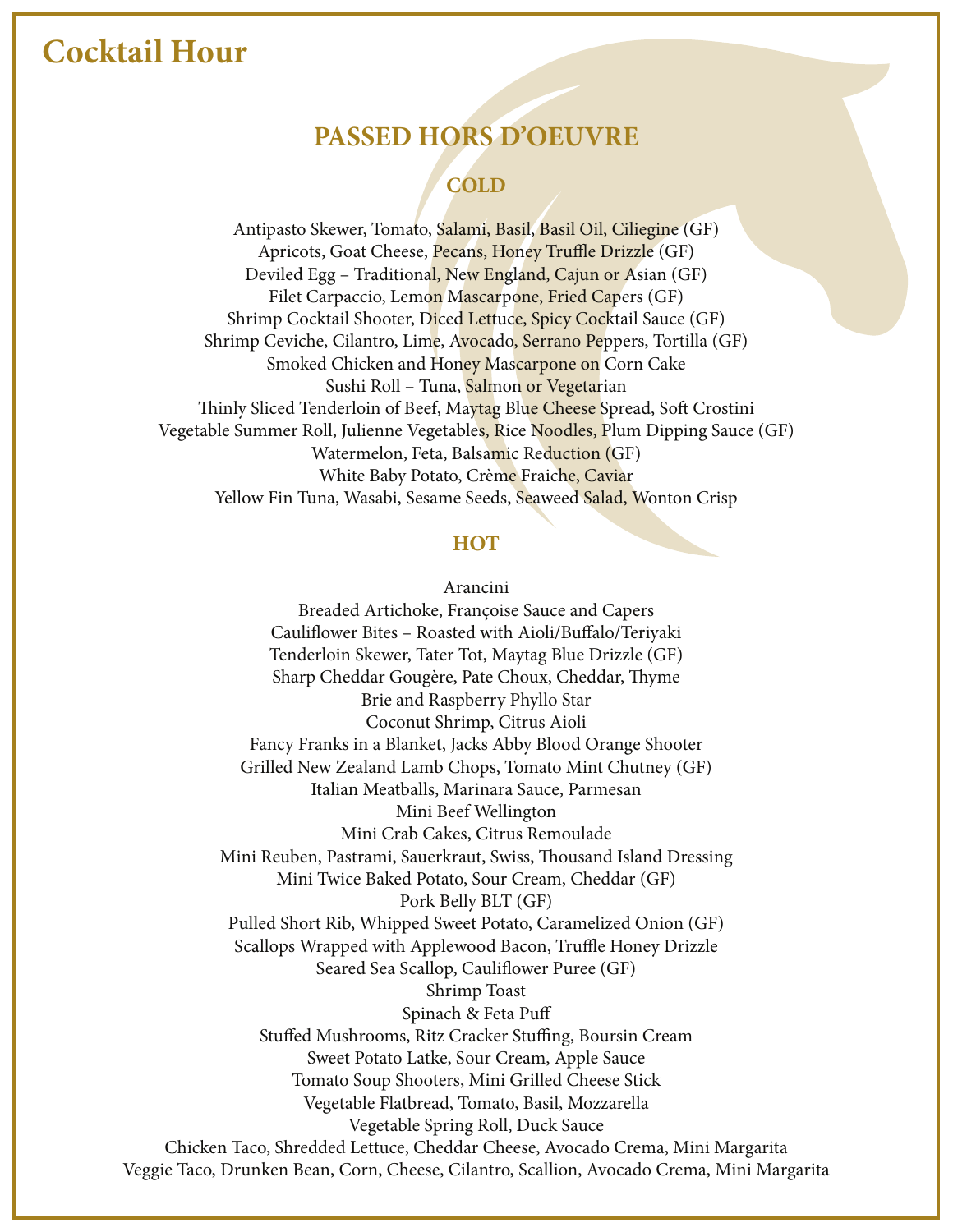## **Cocktail Hour**

## **PASSED HORS D'OEUVRE**

## **COLD**

Antipasto Skewer, Tomato, Salami, Basil, Basil Oil, Ciliegine (GF) Apricots, Goat Cheese, Pecans, Honey Truffle Drizzle (GF) Deviled Egg – Traditional, New England, Cajun or Asian (GF) Filet Carpaccio, Lemon Mascarpone, Fried Capers (GF) Shrimp Cocktail Shooter, Diced Lettuce, Spicy Cocktail Sauce (GF) Shrimp Ceviche, Cilantro, Lime, Avocado, Serrano Peppers, Tortilla (GF) Smoked Chicken and Honey Mascarpone on Corn Cake Sushi Roll – Tuna, Salmon or Vegetarian Thinly Sliced Tenderloin of Beef, Maytag Blue Cheese Spread, Soft Crostini Vegetable Summer Roll, Julienne Vegetables, Rice Noodles, Plum Dipping Sauce (GF) Watermelon, Feta, Balsamic Reduction (GF) White Baby Potato, Crème Fraiche, Caviar Yellow Fin Tuna, Wasabi, Sesame Seeds, Seaweed Salad, Wonton Crisp

#### **HOT**

Arancini

Breaded Artichoke, Françoise Sauce and Capers Cauliflower Bites - Roasted with Aioli/Buffalo/Teriyaki Tenderloin Skewer, Tater Tot, Maytag Blue Drizzle (GF) Sharp Cheddar Gougère, Pate Choux, Cheddar, Thyme Brie and Raspberry Phyllo Star Coconut Shrimp, Citrus Aioli Fancy Franks in a Blanket, Jacks Abby Blood Orange Shooter Grilled New Zealand Lamb Chops, Tomato Mint Chutney (GF) Italian Meatballs, Marinara Sauce, Parmesan Mini Beef Wellington Mini Crab Cakes, Citrus Remoulade Mini Reuben, Pastrami, Sauerkraut, Swiss, Thousand Island Dressing Mini Twice Baked Potato, Sour Cream, Cheddar (GF) Pork Belly BLT (GF) Pulled Short Rib, Whipped Sweet Potato, Caramelized Onion (GF) Scallops Wrapped with Applewood Bacon, Truffle Honey Drizzle Seared Sea Scallop, Cauliflower Puree (GF) Shrimp Toast Spinach & Feta Pu Stuffed Mushrooms, Ritz Cracker Stuffing, Boursin Cream Sweet Potato Latke, Sour Cream, Apple Sauce Tomato Soup Shooters, Mini Grilled Cheese Stick Vegetable Flatbread, Tomato, Basil, Mozzarella Vegetable Spring Roll, Duck Sauce Chicken Taco, Shredded Lettuce, Cheddar Cheese, Avocado Crema, Mini Margarita Veggie Taco, Drunken Bean, Corn, Cheese, Cilantro, Scallion, Avocado Crema, Mini Margarita